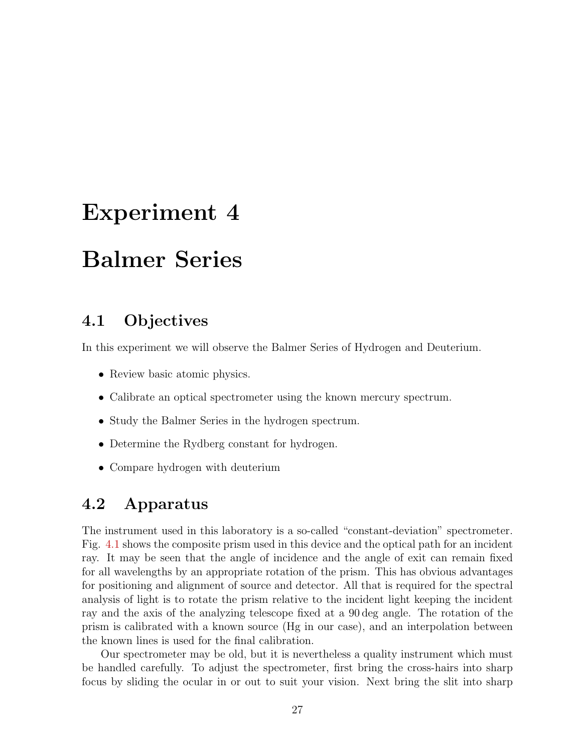# Experiment 4

# Balmer Series

## 4.1 Objectives

In this experiment we will observe the Balmer Series of Hydrogen and Deuterium.

- Review basic atomic physics.
- Calibrate an optical spectrometer using the known mercury spectrum.
- Study the Balmer Series in the hydrogen spectrum.
- Determine the Rydberg constant for hydrogen.
- Compare hydrogen with deuterium

## 4.2 Apparatus

The instrument used in this laboratory is a so-called "constant-deviation" spectrometer. Fig. 4.1 shows the composite prism used in this device and the optical path for an incident ray. It may be seen that the angle of incidence and the angle of exit can remain fixed for all wavelengths by an appropriate rotation of the prism. This has obvious advantages for positioning and alignment of source and detector. All that is required for the spectral analysis of light is to rotate the prism relative to the incident light keeping the incident ray and the axis of the analyzing telescope fixed at a 90 deg angle. The rotation of the prism is calibrated with a known source (Hg in our case), and an interpolation between the known lines is used for the final calibration.

Our spectrometer may be old, but it is nevertheless a quality instrument which must be handled carefully. To adjust the spectrometer, first bring the cross-hairs into sharp focus by sliding the ocular in or out to suit your vision. Next bring the slit into sharp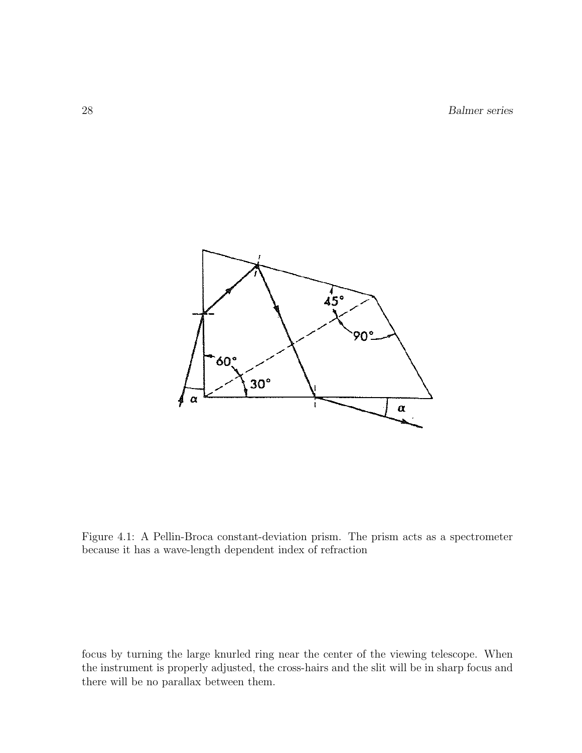28 Balmer series



Figure 4.1: A Pellin-Broca constant-deviation prism. The prism acts as a spectrometer because it has a wave-length dependent index of refraction

focus by turning the large knurled ring near the center of the viewing telescope. When the instrument is properly adjusted, the cross-hairs and the slit will be in sharp focus and there will be no parallax between them.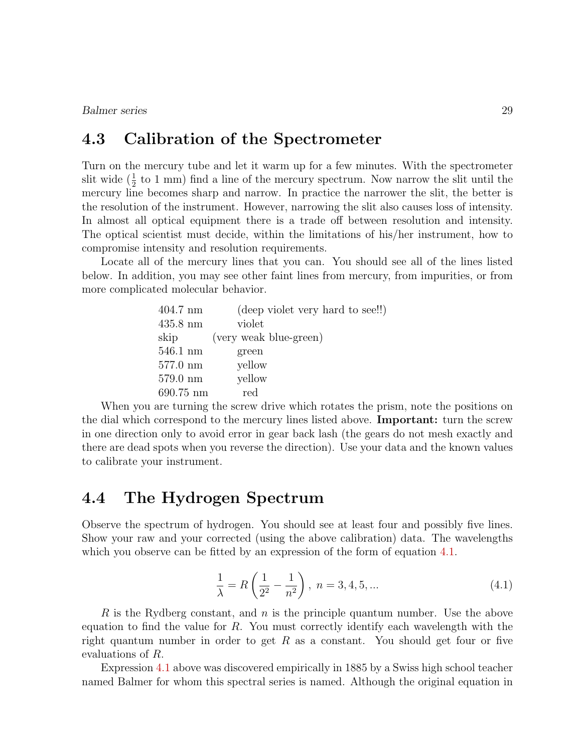Balmer series 29

#### 4.3 Calibration of the Spectrometer

Turn on the mercury tube and let it warm up for a few minutes. With the spectrometer slit wide  $(\frac{1}{2}$  to 1 mm) find a line of the mercury spectrum. Now narrow the slit until the mercury line becomes sharp and narrow. In practice the narrower the slit, the better is the resolution of the instrument. However, narrowing the slit also causes loss of intensity. In almost all optical equipment there is a trade off between resolution and intensity. The optical scientist must decide, within the limitations of his/her instrument, how to compromise intensity and resolution requirements.

Locate all of the mercury lines that you can. You should see all of the lines listed below. In addition, you may see other faint lines from mercury, from impurities, or from more complicated molecular behavior.

| $404.7$ nm         | (deep violet very hard to see!!) |
|--------------------|----------------------------------|
| $435.8 \text{ nm}$ | violet                           |
| skip               | (very weak blue-green)           |
| $546.1 \text{ nm}$ | green                            |
| $577.0 \text{ nm}$ | yellow                           |
| $579.0 \text{ nm}$ | yellow                           |
| 690.75 nm          | red                              |

When you are turning the screw drive which rotates the prism, note the positions on the dial which correspond to the mercury lines listed above. Important: turn the screw in one direction only to avoid error in gear back lash (the gears do not mesh exactly and there are dead spots when you reverse the direction). Use your data and the known values to calibrate your instrument.

#### 4.4 The Hydrogen Spectrum

Observe the spectrum of hydrogen. You should see at least four and possibly five lines. Show your raw and your corrected (using the above calibration) data. The wavelengths which you observe can be fitted by an expression of the form of equation 4.1.

$$
\frac{1}{\lambda} = R\left(\frac{1}{2^2} - \frac{1}{n^2}\right), \ n = 3, 4, 5, \dots \tag{4.1}
$$

R is the Rydberg constant, and  $n$  is the principle quantum number. Use the above equation to find the value for  $R$ . You must correctly identify each wavelength with the right quantum number in order to get R as a constant. You should get four or five evaluations of R.

Expression 4.1 above was discovered empirically in 1885 by a Swiss high school teacher named Balmer for whom this spectral series is named. Although the original equation in